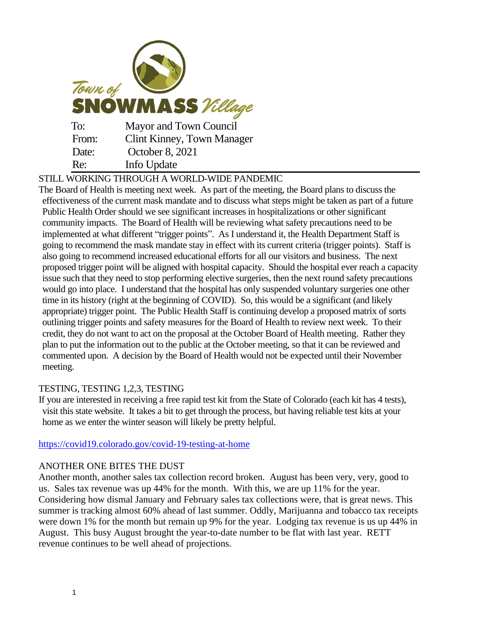| Town of<br><b>SNOWMASS</b> Village |                                   |
|------------------------------------|-----------------------------------|
| To:                                | Mayor and Town Council            |
| From:                              | <b>Clint Kinney, Town Manager</b> |
| Date:                              | October 8, 2021                   |
| Re:                                | Info Update                       |

STILL WORKING THROUGH A WORLD-WIDE PANDEMIC

The Board of Health is meeting next week. As part of the meeting, the Board plans to discuss the effectiveness of the current mask mandate and to discuss what steps might be taken as part of a future Public Health Order should we see significant increases in hospitalizations or other significant community impacts. The Board of Health will be reviewing what safety precautions need to be implemented at what different "trigger points". As I understand it, the Health Department Staff is going to recommend the mask mandate stay in effect with its current criteria (trigger points). Staff is also going to recommend increased educational efforts for all our visitors and business. The next proposed trigger point will be aligned with hospital capacity. Should the hospital ever reach a capacity issue such that they need to stop performing elective surgeries, then the next round safety precautions would go into place. I understand that the hospital has only suspended voluntary surgeries one other time in its history (right at the beginning of COVID). So, this would be a significant (and likely appropriate) trigger point. The Public Health Staff is continuing develop a proposed matrix of sorts outlining trigger points and safety measures for the Board of Health to review next week. To their credit, they do not want to act on the proposal at the October Board of Health meeting. Rather they plan to put the information out to the public at the October meeting, so that it can be reviewed and commented upon. A decision by the Board of Health would not be expected until their November meeting.

## TESTING, TESTING 1,2,3, TESTING

If you are interested in receiving a free rapid test kit from the State of Colorado (each kit has 4 tests), visit this state website. It takes a bit to get through the process, but having reliable test kits at your home as we enter the winter season will likely be pretty helpful.

<https://covid19.colorado.gov/covid-19-testing-at-home>

## ANOTHER ONE BITES THE DUST

Another month, another sales tax collection record broken. August has been very, very, good to us. Sales tax revenue was up 44% for the month. With this, we are up 11% for the year. Considering how dismal January and February sales tax collections were, that is great news. This summer is tracking almost 60% ahead of last summer. Oddly, Marijuanna and tobacco tax receipts were down 1% for the month but remain up 9% for the year. Lodging tax revenue is us up 44% in August. This busy August brought the year-to-date number to be flat with last year. RETT revenue continues to be well ahead of projections.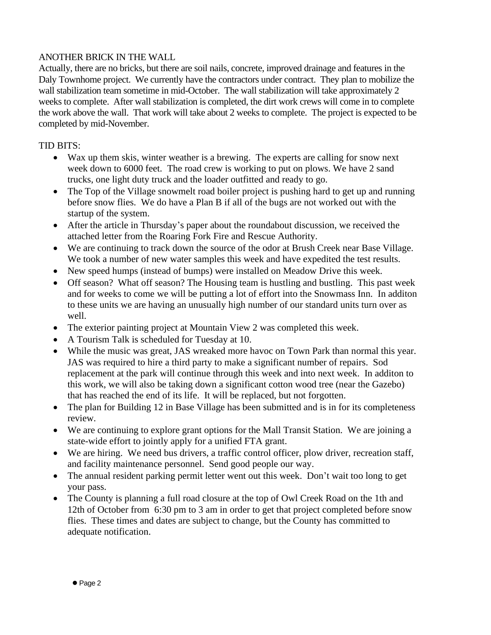## ANOTHER BRICK IN THE WALL

Actually, there are no bricks, but there are soil nails, concrete, improved drainage and features in the Daly Townhome project. We currently have the contractors under contract. They plan to mobilize the wall stabilization team sometime in mid-October. The wall stabilization will take approximately 2 weeks to complete. After wall stabilization is completed, the dirt work crews will come in to complete the work above the wall. That work will take about 2 weeks to complete. The project is expected to be completed by mid-November.

## TID BITS:

- Wax up them skis, winter weather is a brewing. The experts are calling for snow next week down to 6000 feet. The road crew is working to put on plows. We have 2 sand trucks, one light duty truck and the loader outfitted and ready to go.
- The Top of the Village snowmelt road boiler project is pushing hard to get up and running before snow flies. We do have a Plan B if all of the bugs are not worked out with the startup of the system.
- After the article in Thursday's paper about the roundabout discussion, we received the attached letter from the Roaring Fork Fire and Rescue Authority.
- We are continuing to track down the source of the odor at Brush Creek near Base Village. We took a number of new water samples this week and have expedited the test results.
- New speed humps (instead of bumps) were installed on Meadow Drive this week.
- Off season? What off season? The Housing team is hustling and bustling. This past week and for weeks to come we will be putting a lot of effort into the Snowmass Inn. In additon to these units we are having an unusually high number of our standard units turn over as well.
- The exterior painting project at Mountain View 2 was completed this week.
- A Tourism Talk is scheduled for Tuesday at 10.
- While the music was great, JAS wreaked more havoc on Town Park than normal this year. JAS was required to hire a third party to make a significant number of repairs. Sod replacement at the park will continue through this week and into next week. In additon to this work, we will also be taking down a significant cotton wood tree (near the Gazebo) that has reached the end of its life. It will be replaced, but not forgotten.
- The plan for Building 12 in Base Village has been submitted and is in for its completeness review.
- We are continuing to explore grant options for the Mall Transit Station. We are joining a state-wide effort to jointly apply for a unified FTA grant.
- We are hiring. We need bus drivers, a traffic control officer, plow driver, recreation staff, and facility maintenance personnel. Send good people our way.
- The annual resident parking permit letter went out this week. Don't wait too long to get your pass.
- The County is planning a full road closure at the top of Owl Creek Road on the 1th and 12th of October from 6:30 pm to 3 am in order to get that project completed before snow flies. These times and dates are subject to change, but the County has committed to adequate notification.